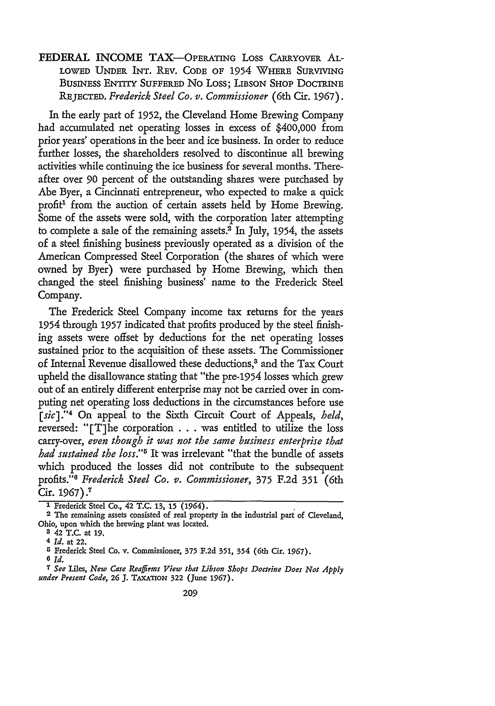FEDERAL INCOME TAX-OPERATING LOSS CARRYOVER AL-LOWED UNDER INT. REV. CODE OF 1954 WHERE SURVIVING BUSINESS ENTITY **SUFFERED** No Loss; LIBSON SHOP DOCTRINE **REJECTED.** *Frederick Steel Co. v. Commissioner* (6th Cir. 1967).

In the early part of 1952, the Cleveland Home Brewing Company had accumulated net operating losses in excess of \$400,000 from prior years' operations in the beer and ice business. In order to reduce further losses, the shareholders resolved to discontinue all brewing activities while continuing the ice business for several months. Thereafter over 90 percent of the outstanding shares were purchased by Abe Byer, a Cincinnati entrepreneur, who expected to make a quick profit<sup>1</sup> from the auction of certain assets held by Home Brewing. Some of the assets were sold, with the corporation later attempting to complete a sale of the remaining assets.<sup>2</sup> In July, 1954, the assets of a steel finishing business previously operated as a division of the American Compressed Steel Corporation (the shares of which were owned by Byer) were purchased by Home Brewing, which then changed the steel finishing business' name to the Frederick Steel Company.

The Frederick Steel Company income tax returns for the years 1954 through 1957 indicated that profits produced by the steel finishing assets were offset by deductions for the net operating losses sustained prior to the acquisition of these assets. The Commissioner of Internal Revenue disallowed these deductions,<sup>3</sup> and the Tax Court upheld the disallowance stating that "the pre-1954 losses which grew out of an entirely different enterprise may not be carried over in computing net operating loss deductions in the circumstances before use [sic]."<sup>4</sup> On appeal to the Sixth Circuit Court of Appeals, *held*, reversed: "[T]he corporation **. . .** was entitled to utilize the loss carry-over, *even though it was not the same business enterprise that had sustained the loss."5* It was irrelevant "that the bundle of assets which produced the losses did not contribute to the subsequent profits." *Frederick Steel Co. v. Commissioner*, 375 F.2d 351 (6th Cir. 1967).<sup>7</sup>

**<sup>1</sup>** Frederick Steel Co., 42 T.C. 13, 15 (1964).

**<sup>2</sup>** The remaining assets consisted of real property in the industrial part of Cleveland, Ohio, upon which the brewing plant was located.

**<sup>3</sup>** 42 T.C. at **19.**

<sup>4</sup> *Id.* at 22.

<sup>5</sup> Frederick Steel Co. v. Commissioner, **375 F.2d** 351, 354 (6th Cir. **1967).**

**<sup>6</sup>** *Id.*

*<sup>7</sup>See* Liles, *New Case Reafrms View that Libson Shops Doctrine Does Not Apply under Present Code,* **26 J. TAXATION** 322 (June **1967).**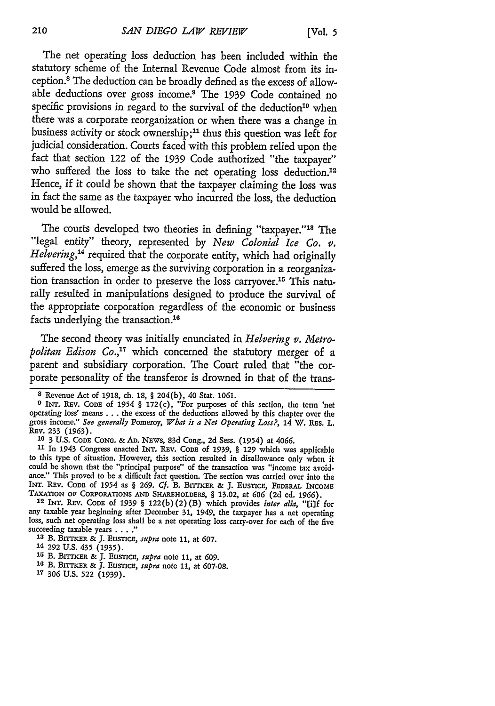**[VOL.** *5*

The net operating loss deduction has been included within the statutory scheme of the Internal Revenue Code almost from its inception.<sup>8</sup> The deduction can be broadly defined as the excess of allowable deductions over gross income.<sup>9</sup> The 1939 Code contained no specific provisions in regard to the survival of the deduction<sup>10</sup> when there was a corporate reorganization or when there was a change in business activity or stock ownership;<sup>11</sup> thus this question was left for judicial consideration. Courts faced with this problem relied upon the fact that section 122 of the 1939 Code authorized "the taxpayer" who suffered the loss to take the net operating loss deduction.<sup>12</sup> Hence, if it could be shown that the taxpayer claiming the loss was in fact the same as the taxpayer who incurred the loss, the deduction would be allowed.

The courts developed two theories in defining "taxpayer."<sup>18</sup> The "legal entity" theory, represented by *New Colonial Ice Co.* v. *Helvering,'4* required that the corporate entity, which had originally suffered the loss, emerge as the surviving corporation in a reorganization transaction in order to preserve the loss carryover. 15 This naturally resulted in manipulations designed to produce the survival of the appropriate corporation regardless of the economic or business facts underlying the transaction.<sup>16</sup>

The second theory was initially enunciated in *Helvering v. Metropolitan Edison Co.,17* which concerned the statutory merger of a parent and subsidiary corporation. The Court ruled that "the corporate personality of the transferor is drowned in that of the trans-

**<sup>8</sup>** Revenue Act of 1918, ch. **18, §** 204(b), 40 Stat. **1061.**

**<sup>9</sup>** INT. REV. CODE of 1954 § 172(c), "For purposes of this section, the term 'net operating loss' means . . . the excess of the deductions allowed by this chapter over the gross income." *See generally* Pomeroy, *What is a Net Operating Loss?,* 14 W. REs. L. REv. 233 **(1963).**

**I0 3 U.S. CODE CONG.** & **AD.** NEWS, 83d Cong., 2d Sess. (1954) at *4066.*

<sup>&</sup>lt;sup>11</sup> In 1943 Congress enacted INT. REV. CODE of 1939, § 129 which was applicable to this type of situation. However, this section resulted in disallowance only when it could be shown that the "principal purpose" of the transaction was "income tax avoidance." This proved to be a difficult fact question. The section was carried over into the INT. REV. CODE of 1954 as § 269. Cf. B. BITTKER & J. EUSTICE, FEDERAL INCOME

**TAXATION OF CORIPORATIONS AND SHAREHOLDERS, §** 13.02, at **606** (2d ed. 1966). **12 INT. REv. CODE** of *1939 §* **122(b)** (2) (B) which provides *inter alia,* "[i]f for any taxable year beginning after December **31,** 1949, the taxpayer has a net operating loss, such net operating loss shall be a net operating loss carry-over for each of the five succeeding taxable years . . . . "

**<sup>13</sup>**B. BrrTrER & J. *EusTicE, supra* note **11,** at **607.**

<sup>14</sup> **292 U.S. 435 (1935).**

**<sup>15</sup>** B. Bn-ixER **&** J. EusrncE, *supra* note **11,** at **609.**

**<sup>16</sup>** B. **BITKER &** J. **EusTcE,** *supra* note **11, at 607-08.**

**<sup>17 306</sup> U.S. 522 (1939).**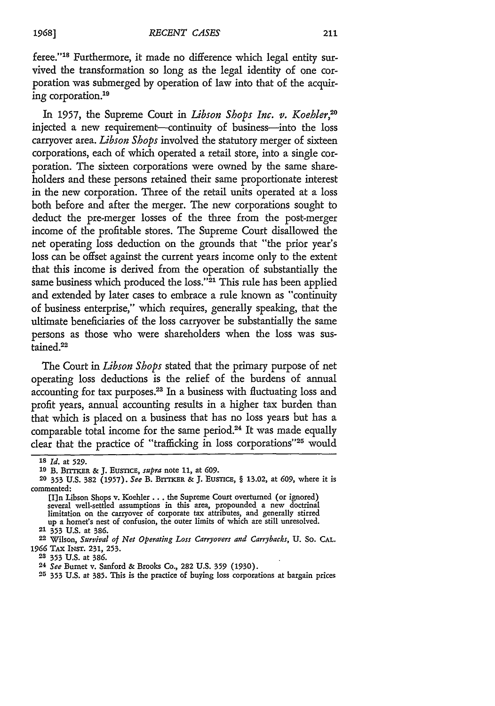feree."<sup>18</sup> Furthermore, it made no difference which legal entity survived the transformation so long as the legal identity of one corporation was submerged by operation of law into that of the acquiring corporation.<sup>19</sup>

In 1957, the Supreme Court in *Libson Shops Inc. v. Koehler,"0* injected a new requirement—continuity of business—into the loss carryover area. *Libson Shops* involved the statutory merger of sixteen corporations, each of which operated a retail store, into a single corporation. The sixteen corporations were owned by the same shareholders and these persons retained their same proportionate interest in the new corporation. Three of the retail units operated at a loss both before and after the merger. The new corporations sought to deduct the pre-merger losses of the three from the post-merger income of the profitable stores. The Supreme Court disallowed the net operating loss deduction on the grounds that "the prior year's loss can be offset against the current years income only to the extent that this income is derived from the operation of substantially the same business which produced the loss."<sup>21</sup> This rule has been applied and extended by later cases to embrace a rule known as "continuity of business enterprise," which requires, generally speaking, that the ultimate beneficiaries of the loss carryover be substantially the same persons as those who were shareholders when the loss was sustained.<sup>22</sup>

The Court in *Libson Shops* stated that the primary purpose of net operating loss deductions is the relief of the burdens of annual accounting for tax purposes.23 In a business with fluctuating loss and profit years, annual accounting results in a higher tax burden than that which is placed on a business that has no loss years but has a comparable total income for the same period.<sup>24</sup> It was made equally clear that the practice of "trafficking in loss corporations"<sup>25</sup> would

**<sup>18</sup>** *Id.* at **529.**

**<sup>10</sup>** B. BrrrKaR & J. EUSTicE, *supra* note 11, at **609.**

**<sup>20</sup>** 353 U.S. 382 (1957). *See* B. BrrTKER & J. EusTicE, § 13.02, at **609,** where it is commented:

**<sup>[</sup>I]n** Libson Shops v. Koehler ... the Supreme Court overturned (or ignored) several well-settled assumptions in this area, propounded a new doctrinal limitation on the carryover of corporate tax attributes, and generally stirred up a hornet's nest of confusion, the outer limits of which are still unresolved.

<sup>21 353</sup> **U.S.** at **386.**

<sup>22</sup> Wilson, *Survival of Net Operating Loss Carryovers and Carrybacks,* **U.** So. **CAL.** 1966 TAx **INST.** 231, **253.**

**<sup>23</sup>** 353 **U.S.** at 386.

<sup>24</sup> *See* Bumet v. Sanford & Brooks Co., 282 **U.S.** 359 (1930).

**<sup>25</sup>** 353 **U.S.** at **385.** This is the practice of buying loss corporations at bargain prices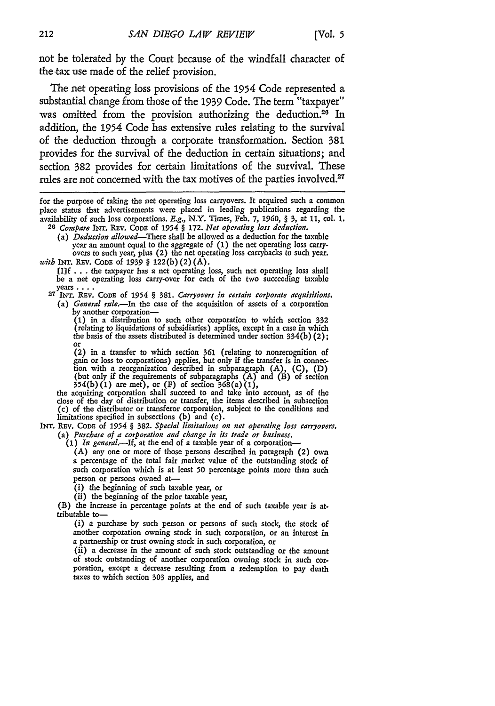not be tolerated by the Court because of the windfall character of the tax use made of the relief provision.

The net operating loss provisions of the 1954 Code represented a substantial change from those of the 1939 Code. The term "taxpayer" was omitted from the provision authorizing the deduction.<sup>26</sup> In addition, the 1954 Code has extensive rules relating to the survival of the deduction through a corporate transformation. Section 381 provides for the survival of the deduction in certain situations; and section 382 provides for certain limitations of the survival. These rules are not concerned with the tax motives of the parties involved.<sup>27</sup>

**[f** ... the taxpayer has a net operating loss, such net operating loss shall be a net operating loss carry-over for each of the two succeeding taxable

years .... **27 INT.** REv. **CoDE of** 1954 § 381. *Carryovers in certain corporate acquisitions.* (a) *General rule.-In* the case of the acquisition of assets **of** a corporation

by another corporation—<br>
(1) in a distribution to such other corporation to which section 332<br>
(relating to liquidations of subsidiaries) applies, except in a case in which the basis of the assets distributed is determined under section  $334(b)(2)$ ;

(2) in a transfer to which section 361 (relating to nonrecognition of gain or loss to corporations) applies, but only if the transfer is in connec- tion with a reorganization described in subparagraph (A), (C), (D) (but only if the requirements of subparagraphs (A) and (B) of section 354(b) (1) are met), or (F) of section 368(a) **(1),**

the acquiring corporation shall succeed to and take into account, as of the close of the day of distribution or transfer, the items described in subsection (c) of the distributor or transferor corporation, subject to the conditions and limitations specified in subsections (b) and (c).

INT. REv. **CODE** of 1954 § **382.** *Special limitations on net operating loss carryovers.* (a) *Purchase of a corporation and change in its trade or business.*

*(1) In general.-If,* at the end of a taxable year of a corporation-

(A) any one or more of those persons described in paragraph (2) own a percentage of the total fair market value of the outstanding stock of such corporation which is at least **50** percentage points more than such person or persons owned at-

(i) the beginning of such taxable year, or (ii) the beginning of the prior taxable year,

(B) the increase in percentage points at the end of such taxable year is **at**tributable to-

(i) a purchase by such person or persons of such stock, the stock of another corporation owning stock in such corporation, or an interest in a partnership or trust owning stock in such corporation, or

(ii) a decrease in the amount of such stock outstanding or the amount of stock outstanding of another corporation owning stock in such cor poration, except a decrease resulting from a redemption to pay death taxes to which section **303** applies, and

for the purpose of taking the net operating loss carryovers. It acquired such a common place status that advertisements were placed in leading publications regarding the availability of such loss corporations. E.g., N.Y. Times, Feb. **7,** *1960, §* 3, at 11, col. 1. *<sup>26</sup>Compare* INT. Rav. **CODE** of **1954** *§* 172. *Net operating loss deduction.*

<sup>(</sup>a) *Deduction allowed-There* shall be allowed as a deduction for the taxable year an amount equal to the aggregate of (1) the net operating loss carry- overs to such year, plus (2) the net operating loss carrybacks to such year.

*with* **INT. REv.** CODE **of** *1939* § 122(b) (2) (A).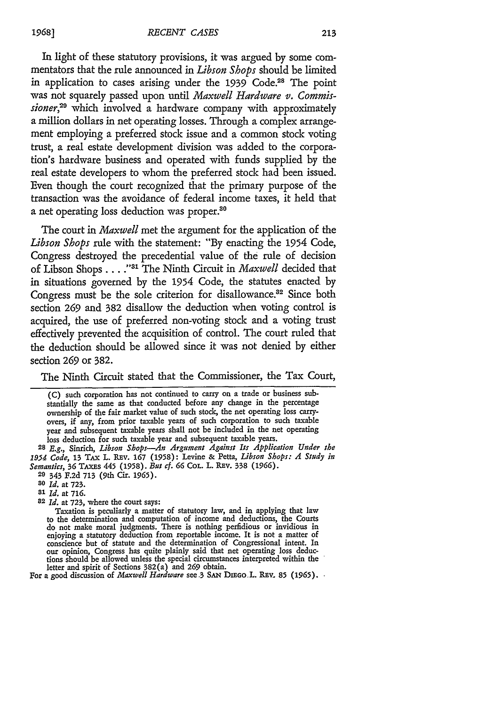In light of these statutory provisions, it was argued by some commentators that the rule announced in *Libson Shops* should be limited in application to cases arising under the 1939 Code.<sup>28</sup> The point was not squarely passed upon until *Maxwell Hardware* v. *Commissioner,29* which involved a hardware company with approximately a million dollars in net operating losses. Through a complex arrangement employing a preferred stock issue and a common stock voting trust, a real estate development division was added to the corporation's hardware business and operated with funds supplied by the real estate developers to whom the preferred stock had been issued. Even though the court recognized that the primary purpose of the transaction was the avoidance of federal income taxes, it held that a net operating loss deduction was proper.<sup>80</sup>

The court in *Maxwell* met the argument for the application of the *Libson Shops* rule with the statement: "By enacting the 1954 Code, Congress destroyed the precedential value of the rule of decision of Libson Shops. . **. ."** The Ninth Circuit in *Maxwell* decided that in situations governed by the 1954 Code, the statutes enacted by Congress must be the sole criterion for disallowance.<sup>32</sup> Since both section 269 and 382 disallow the deduction when voting control is acquired, the use of preferred non-voting stock and a voting trust effectively prevented the acquisition of control. The court ruled that the deduction should be allowed since it was not denied by either section 269 or 382.

The Ninth Circuit stated that the Commissioner, the Tax Court,

(C) such corporation has not continued to carry on a trade or business substantially the same as that conducted before any change in the percentage ownership of the fair market value of such stock, the net operating loss carryovers, if any, from prior taxable years of such corporation to such taxable year and subsequent taxable years shall not be included in the net operating loss deduction for such taxable year and subsequent taxable years.

**<sup>28</sup>***E.g.,* Sinrich, *Libson Shops-An Argument Against Its Application Under the* 1954 *Code,* 13 TAx L. Rav. 167 (1958): Levine **&** Petta, *Libson Shops: A Study in* Semantics, 36 **TAx.s** 445 **(1958).** But cf. **66** CoL. L. REv. 338 (1966).

20 343 F.2d 713 (9th Cir. 1965).

*80 Id.* at 723.

**81** *Id.* at **716.**

82 *Id.* at **723,** where the court says:

Taxation is peculiarly **a** matter **of** statutory law, and in applying that law to the determination and computation of income and deductions, the Courts do not make moral judgments. There is nothing perfidious or invidious in<br>enjoying a statutory deduction from reportable income. It is not a matter of<br>conscience but of statute and the determination of Congressional intent. our opinion, Congress has quite plainly said that net operating loss deductions should be allowed unless the special circumstances interpreted within the letter and spirit of Sections 382(a) and **269** obtain.

For a good discussion of *Maxwell Hardware* see 3 SAN DIEGO.L. REV. 85 (1965).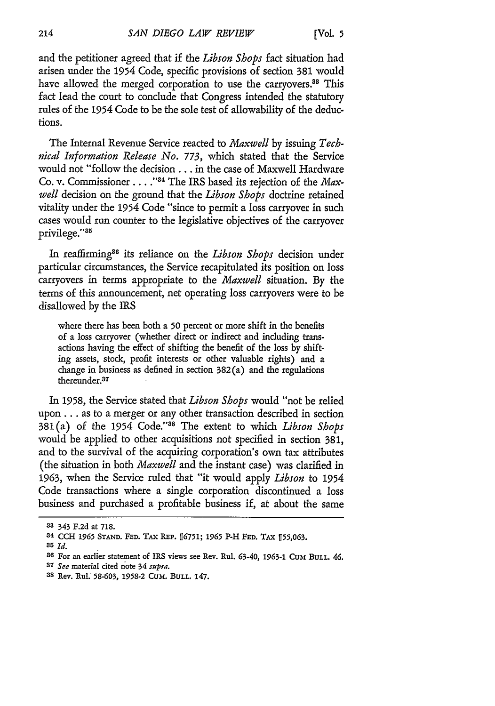and the petitioner agreed that if the *Libson Shops* fact situation had arisen under the **1954** Code, specific provisions of section 381 would have allowed the merged corporation to use the carryovers.<sup>88</sup> This fact lead the court to conclude that Congress intended the statutory rules of the **1954** Code to be the sole test of allowability of the deductions.

The Internal Revenue Service reacted to *Maxwell* by issuing *Technical Information Release No. 773,* which stated that the Service would not "follow the decision... in the case of Maxwell Hardware Co. v. Commissioner . . . . "<sup>34</sup> The IRS based its rejection of the *Maxwell* decision on the ground that the *Libson Shops* doctrine retained vitality under the 1954 Code "since to permit a loss carryover in such cases would run counter to the legislative objectives of the carryover privilege."<sup>35</sup>

In reaffirming<sup>36</sup> its reliance on the *Libson Shops* decision under particular circumstances, the Service recapitulated its position on loss carryovers in terms appropriate to the *Maxwell* situation. By the terms of this announcement, net operating loss carryovers were to be disallowed by the IRS

where there has been both a **50** percent or more shift in the benefits of a loss carryover (whether direct or indirect and including transactions having the effect of shifting the benefit of the loss by shifting assets, stock, profit interests or other valuable rights) and a change in business as defined in section 382(a) and the regulations thereunder.37

In 1958, the Service stated that *Libson Shops* would "not be relied upon... as to a merger or any other transaction described in section 381(a) of the 1954 Code."<sup>38</sup> The extent to which *Libson Shops* would be applied to other acquisitions not specified in section 381, and to the survival of the acquiring corporation's own tax attributes (the situation in both *Maxwell* and the instant case) was clarified in 1963, when the Service ruled that "it would apply *Libson* to 1954 Code transactions where a single corporation discontinued a loss business and purchased a profitable business if, at about the same

**<sup>33</sup>** 343 F.2d at **718.**

**<sup>34</sup> CCH 1965 STAND. FED.** TAX REP. 16751; *1965* P-H FED. TAX **155,063.**

*<sup>35</sup> Id.*

<sup>&</sup>lt;sup>36</sup> For an earlier statement of IRS views see Rev. Rul. 63-40, 1963-1 CUM BULL. 46.

**<sup>37</sup>** *See* material cited note 34 *supra.*

**<sup>38</sup>** Rev. Rul. 58-'603, 1958-2 Cum. **BULL.** 147.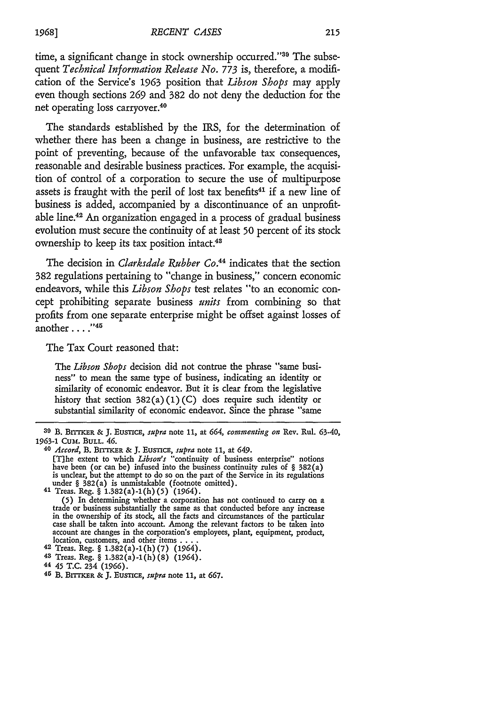time, a significant change in stock ownership occurred."<sup>39</sup> The subsequent *Technical Information Release No. 773* is, therefore, a modification of the Service's 1963 position that *Libson Shops* may apply even though sections 269 and 382 do not deny the deduction for the net operating loss carryover.<sup>40</sup>

The standards established by the IRS, for the determination of whether there has been a change in business, are restrictive to the point of preventing, because of the unfavorable tax consequences, reasonable and desirable business practices. For example, the acquisition of control of a corporation to secure the use of multipurpose assets is fraught with the peril of lost tax benefits<sup>41</sup> if a new line of business is added, accompanied by a discontinuance of an unprofitable line.<sup>42</sup> An organization engaged in a process of gradual business evolution must secure the continuity of at least 50 percent of its stock ownership to keep its tax position intact.<sup>48</sup>

The decision in *Clarksdale Rubber Co.44* indicates that the section 382 regulations pertaining to "change in business," concern economic endeavors, while this *Libson Shops* test relates "to an economic concept prohibiting separate business *units* from combining so that profits from one separate enterprise might be offset against losses of another **....**

The Tax Court reasoned that:

The *Libson Shops* decision did not contrue the phrase "same business" to mean the same type of business, indicating an identity or similarity of economic endeavor. But it is clear from the legislative history that section 382(a) (1) **(C)** does require such identity or substantial similarity of economic endeavor. Since the phrase "same

**<sup>30</sup>** B. B.rixrm **& J.** EusnicE, *supra* note 11, at *664, commenting on* Rev. Rul. 63-40, **1963-1 Cum. BULL. 46.**

*<sup>40</sup> Accord,* B. **BrrER & J. EUSTICE,** *supra* note **11,** at **649.**

<sup>[</sup>T]he extent to which *Libson's* "continuity of business enterprise" notions have been (or can be) infused into the business continuity **rules** of § 382(a) is unclear, but the attempt to do so on the part of the Service in its regulations under § 382(a) is unmistakable (footnote omitted).  $41$  Treas. Reg. § 1.382(a)-1(h)(5) (1964).

<sup>(5)</sup> In determining whether a corporation has not continued to carry on a trade or business substantially the same as that conducted before any increase in the ownership of its stock, all the facts and circumstances of the particular case shall be taken into account. Among the relevant factors to be taken into account are changes in the corporation's employees, plant, equipment, product, location, customers, and other items **....** 42 Treas. Reg. § 1.382(a)-1(h) (7) (1964).

**<sup>43</sup>**Treas. Reg. § 1.382(a)-1(h)(8) (1964).

**<sup>44</sup>** 45 T.C. 234 (1966).

**<sup>45</sup>** B. **BrrrKER & J. Eusnca,** *supra* note **11, at 667.**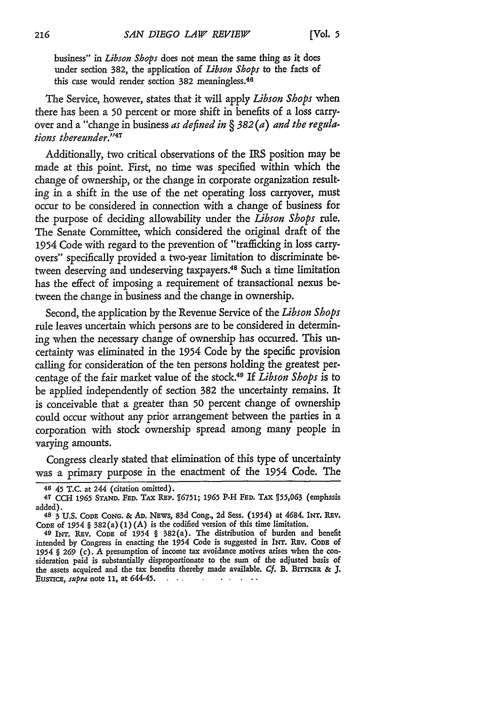business" in *Libson Shops* does not mean the same thing as it does under section 382, the application of *Libson Shops* to the facts of this case would render section 382 meaningless.<sup>46</sup>

The Service, however, states that it will apply *Libson Shops* when there has been a **50** percent or more shift in benefits of a loss carryover and a "change in business *as defined in* § *382 (a) and the regulations thereunder.*<sup>747</sup>

Additionally, two critical observations of the IRS position may be made at this point. First, no time was specified within which the change of ownership, or the change in corporate organization resulting in a shift in the use of the net operating loss carryover, must occur to be considered in connection with a change of business for the purpose of deciding allowability under the *Libson Shops rule.* The Senate Committee, which considered the original draft of the 1954 Code with regard to the prevention of "trafficking in loss carryovers" specifically provided a two-year limitation to discriminate between deserving and undeserving taxpayers.<sup>48</sup> Such a time limitation has the effect of imposing a requirement of transactional nexus between the change in business and the change in ownership.

Second, the application by the Revenue Service of the *Libson Shops* rule leaves uncertain which persons are to be considered in determining when the necessary change of ownership has occurred. This uncertainty was eliminated in the 1954 Code by the specific provision calling for consideration of the ten persons holding the greatest percentage of the fair market value of the stock49 If *Libson Shops* is to be applied independently of section 382 the uncertainty remains. It is conceivable that a greater than **50** percent change of ownership could occur without any prior arrangement between the parties in a corporation with stock ownership spread among many people in varying amounts.

Congress clearly stated that elimination of this type of uncertainty was a primary purpose in the enactment of the 1954 Code. The

<sup>46 45</sup> T.C. at 244 (citation omitted).

**<sup>47</sup> CCH** *1965* STAND. FED. TAX REP. 16751; **1965** P-H **FED.** TAx *155,063* (emphasis added).

<sup>48 3</sup> **U.S.** CODE CONG. & **AD.** Naws, 83d Cong., **2d** Sess. (1954) at 4684. **INT.** REV.

CODE of 1954 § 382(a) (1) (A) is the codified version of this time limitation. 49 INT. REv. CODE of 1954 *§* 382(a). The distribution of burden and benefit intended by Congress in enacting the 1954 Code is suggested in INT. Rnv. **CODE of** 1954 *§ 269* (c). *A* presumption of income tax avoidance motives arises when the consideration paid is substantially disproportionate to the sum of the adjusted basis of the assets acquired and the tax benefits thereby made available. Cf. B. BITTKER & J. Busnca, *supra* note 11, at 644-45. وعادتها والمناور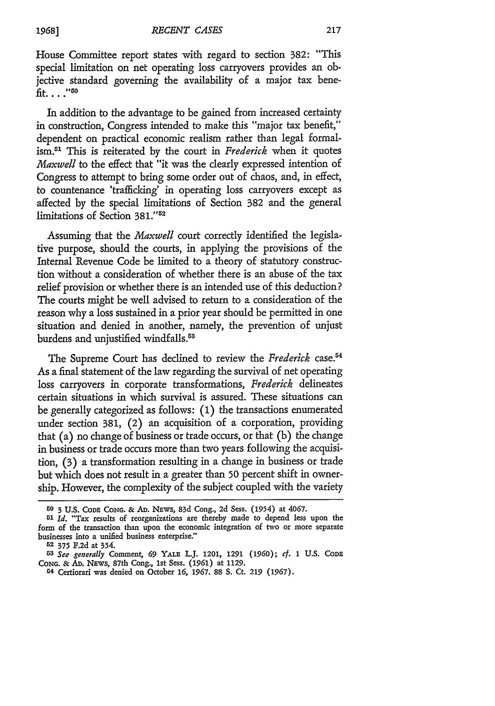House Committee report states with regard to section 382: "This special limitation on net operating loss carryovers provides an objective standard governing the availability of a major tax benefit. . . . "<sup>50</sup>

In addition to the advantage to be gained from increased certainty in construction, Congress intended to make this "major tax benefit," dependent on practical economic realism rather than legal formalism. 1 This is reiterated by the court in *Frederick* when it quotes *Maxwell* to the effect that "it was the dearly expressed intention of Congress to attempt to bring some order out of chaos, and, in effect, to countenance 'trafficking' in operating loss carryovers except as affected by the special limitations of Section 382 and the general limitations of Section 381."<sup>52</sup>

Assuming that the *Maxwell* court correctly identified the legislative purpose, should the courts, in applying the provisions of the Internal Revenue Code be limited to a theory of statutory construction without a consideration of whether there is an abuse of the tax relief provision or whether there is an intended use of this deduction? The courts might be well advised to return to a consideration of the reason why a loss sustained in a prior year should be permitted in one situation and denied in another, namely, the prevention of unjust burdens and unjustified windfalls.<sup>53</sup>

The Supreme Court has declined to review the *Frederick* case.<sup>54</sup> As a final statement of the law regarding the survival of net operating loss carryovers in corporate transformations, *Frederick* delineates certain situations in which survival is assured. These situations can be generally categorized as follows: (1) the transactions enumerated under section 381, (2) an acquisition of a corporation, providing that (a) no change of business or trade occurs, or that (b) the change in business or trade occurs more than two years following the acquisition, (3) a transformation resulting in a change in business or trade but which does not result in a greater than 50 percent shift in ownership. However, the complexity of the subject coupled with the variety

**<sup>50 3</sup>** U.S. **CODE CONG. & AD. NEWS, 83d** Cong., **2d** Sess. (1954) at 4067.

*<sup>51</sup> Id.* "Tax results of reorganizations **are** thereby made to depend less upon the form **of** the transaction than upon the economic integration of two or more separate businesses into a unified business enterprise."

<sup>52</sup> **375 F.2d** at 354.

**<sup>53</sup>***See generally* Comment, **69** YALE LJ. 1201, **1291 (1960);** *cf.* **1 U.S. CODE CONG. & AD. NEWS,** 87th Cong., 1st Sess. **(1961)** at **1129.**

**G4** Certiorari was denied on October **16, 1967. 88 S.** Ct. **219 (1967).**